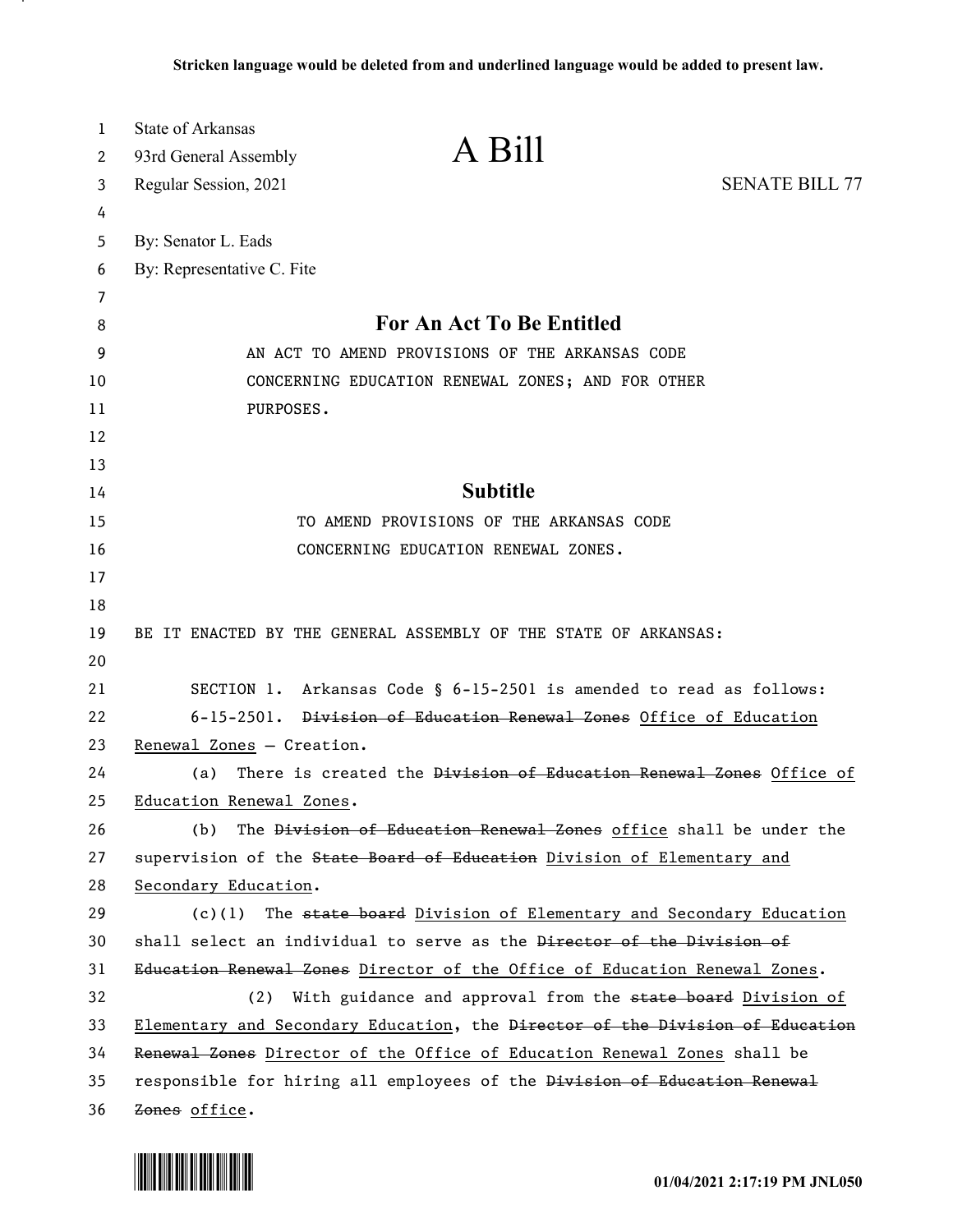| $\mathbf{1}$ | <b>State of Arkansas</b>                                                      |  |
|--------------|-------------------------------------------------------------------------------|--|
| 2            | A Bill<br>93rd General Assembly                                               |  |
| 3            | <b>SENATE BILL 77</b><br>Regular Session, 2021                                |  |
| 4            |                                                                               |  |
| 5            | By: Senator L. Eads                                                           |  |
| 6            | By: Representative C. Fite                                                    |  |
| 7            |                                                                               |  |
| 8            | <b>For An Act To Be Entitled</b>                                              |  |
| 9            | AN ACT TO AMEND PROVISIONS OF THE ARKANSAS CODE                               |  |
| 10           | CONCERNING EDUCATION RENEWAL ZONES; AND FOR OTHER                             |  |
| 11           | PURPOSES.                                                                     |  |
| 12           |                                                                               |  |
| 13           |                                                                               |  |
| 14           | <b>Subtitle</b>                                                               |  |
| 15           | TO AMEND PROVISIONS OF THE ARKANSAS CODE                                      |  |
| 16           | CONCERNING EDUCATION RENEWAL ZONES.                                           |  |
| 17           |                                                                               |  |
| 18           |                                                                               |  |
| 19           | BE IT ENACTED BY THE GENERAL ASSEMBLY OF THE STATE OF ARKANSAS:               |  |
| 20           |                                                                               |  |
| 21           | SECTION 1. Arkansas Code § 6-15-2501 is amended to read as follows:           |  |
| 22           | 6-15-2501. Division of Education Renewal Zones Office of Education            |  |
| 23           | Renewal Zones - Creation.                                                     |  |
| 24           | There is created the Division of Education Renewal Zones Office of<br>(a)     |  |
| 25           | Education Renewal Zones.                                                      |  |
| 26           | The Division of Education Renewal Zones office shall be under the<br>(b)      |  |
| 27           | supervision of the State Board of Education Division of Elementary and        |  |
| 28           | Secondary Education.                                                          |  |
| 29           | The state board Division of Elementary and Secondary Education<br>(c)(1)      |  |
| 30           | shall select an individual to serve as the Director of the Division of        |  |
| 31           | Education Renewal Zones Director of the Office of Education Renewal Zones.    |  |
| 32           | (2) With guidance and approval from the state board Division of               |  |
| 33           | Elementary and Secondary Education, the Director of the Division of Education |  |
| 34           | Renewal Zones Director of the Office of Education Renewal Zones shall be      |  |
| 35           | responsible for hiring all employees of the Division of Education Renewal     |  |
| 36           | Zones office.                                                                 |  |

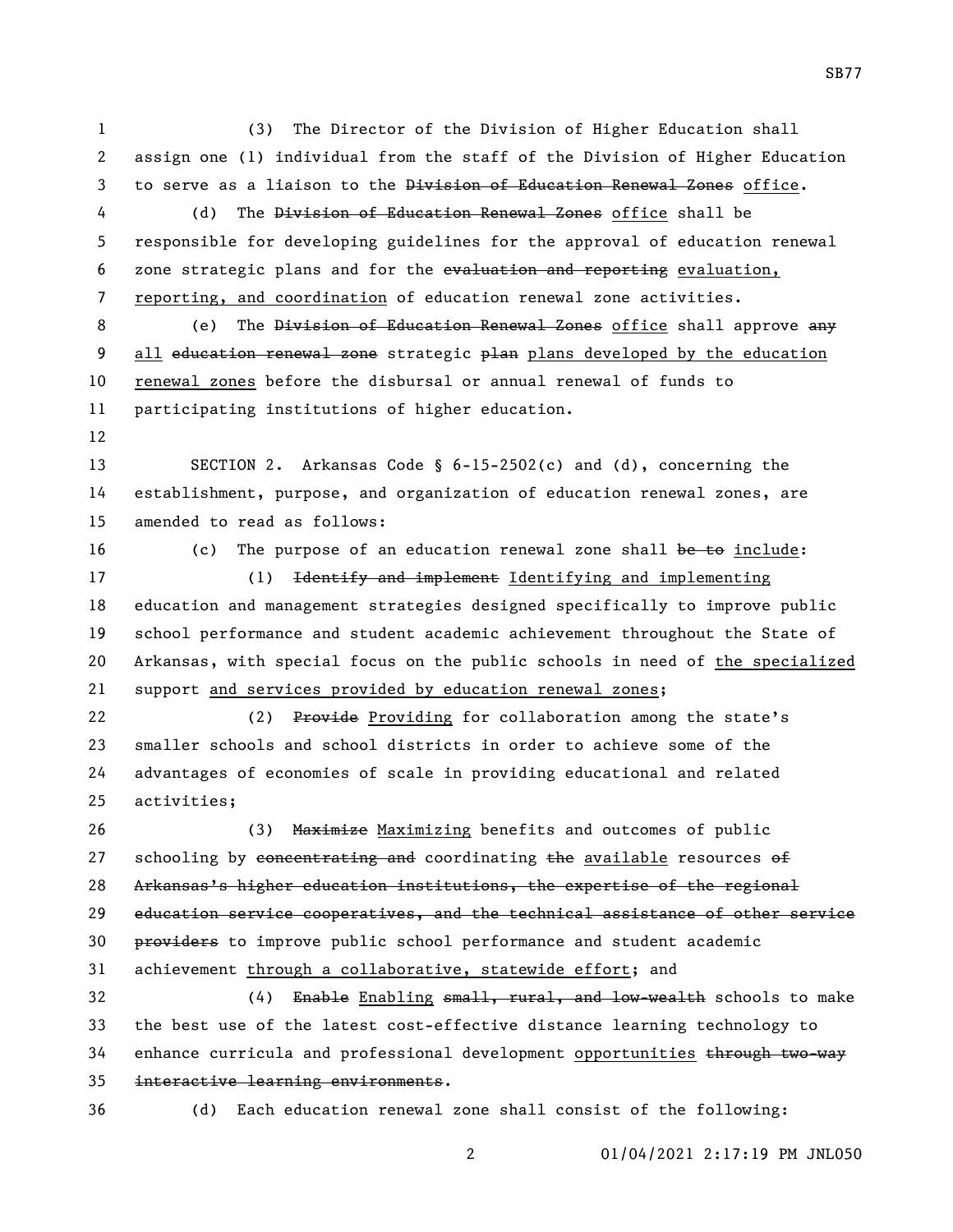(3) The Director of the Division of Higher Education shall assign one (1) individual from the staff of the Division of Higher Education 3 to serve as a liaison to the Division of Education Renewal Zones office. (d) The Division of Education Renewal Zones office shall be responsible for developing guidelines for the approval of education renewal zone strategic plans and for the evaluation and reporting evaluation, reporting, and coordination of education renewal zone activities. 8 (e) The <del>Division of Education Renewal Zones</del> office shall approve any 9 all education renewal zone strategic plan plans developed by the education renewal zones before the disbursal or annual renewal of funds to participating institutions of higher education. SECTION 2. Arkansas Code § 6-15-2502(c) and (d), concerning the establishment, purpose, and organization of education renewal zones, are amended to read as follows: 16 (c) The purpose of an education renewal zone shall be to include: (1) Identify and implement Identifying and implementing education and management strategies designed specifically to improve public school performance and student academic achievement throughout the State of Arkansas, with special focus on the public schools in need of the specialized support and services provided by education renewal zones; 22 (2) Provide Providing for collaboration among the state's smaller schools and school districts in order to achieve some of the advantages of economies of scale in providing educational and related activities; 26 (3) Maximize Maximizing benefits and outcomes of public 27 schooling by  $\epsilon$  oncentrating and coordinating the available resources of Arkansas's higher education institutions, the expertise of the regional education service cooperatives, and the technical assistance of other service **providers** to improve public school performance and student academic achievement through a collaborative, statewide effort; and 32 (4) Enable Enabling small, rural, and low-wealth schools to make the best use of the latest cost-effective distance learning technology to 34 enhance curricula and professional development opportunities through two-way interactive learning environments. (d) Each education renewal zone shall consist of the following:

SB77

01/04/2021 2:17:19 PM JNL050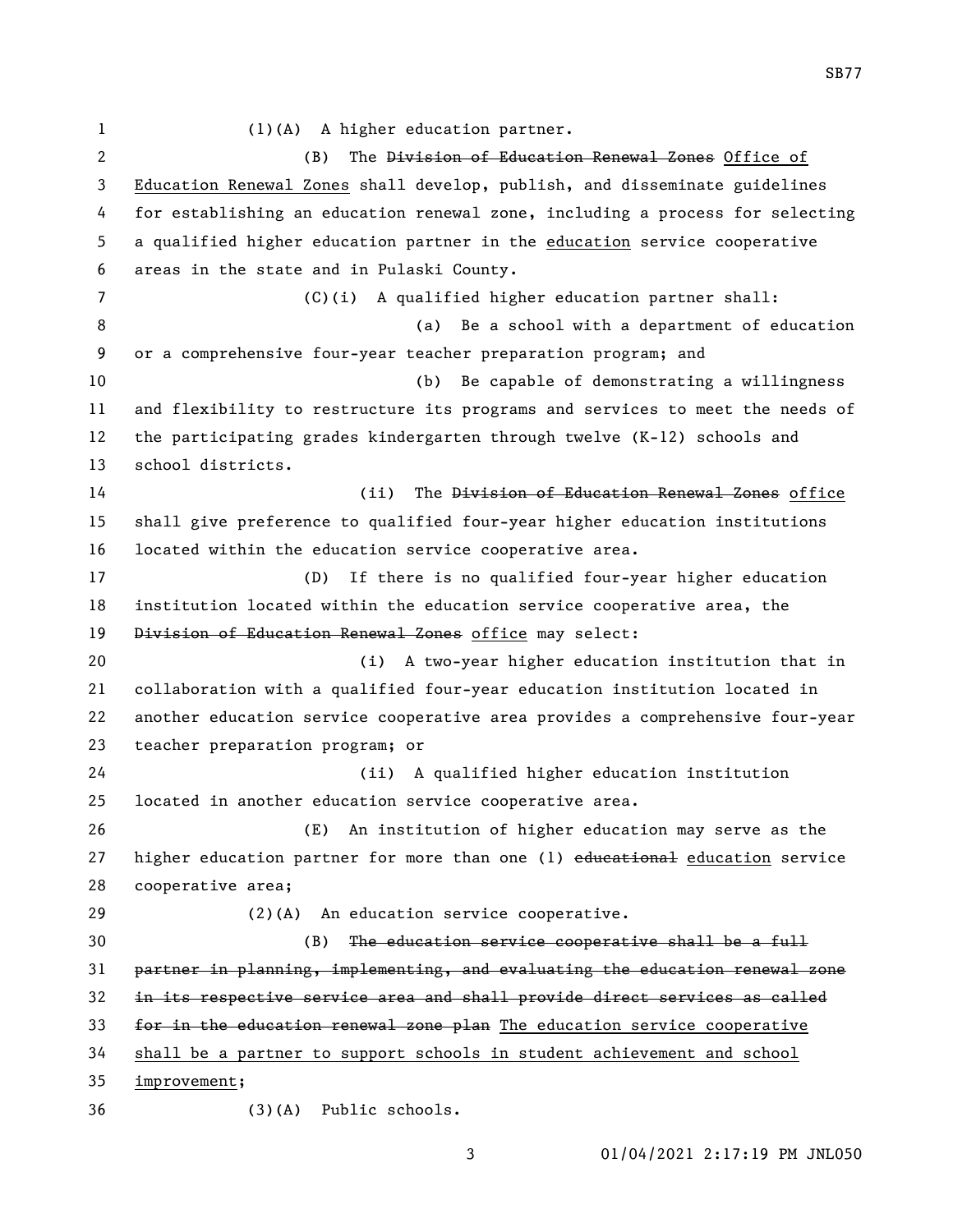(1)(A) A higher education partner. 2 (B) The <del>Division of Education Renewal Zones</del> Office of Education Renewal Zones shall develop, publish, and disseminate guidelines for establishing an education renewal zone, including a process for selecting a qualified higher education partner in the education service cooperative areas in the state and in Pulaski County. (C)(i) A qualified higher education partner shall: (a) Be a school with a department of education or a comprehensive four-year teacher preparation program; and (b) Be capable of demonstrating a willingness and flexibility to restructure its programs and services to meet the needs of the participating grades kindergarten through twelve (K-12) schools and school districts. 14 (ii) The Division of Education Renewal Zones office shall give preference to qualified four-year higher education institutions located within the education service cooperative area. (D) If there is no qualified four-year higher education institution located within the education service cooperative area, the Division of Education Renewal Zones office may select: (i) A two-year higher education institution that in collaboration with a qualified four-year education institution located in another education service cooperative area provides a comprehensive four-year teacher preparation program; or (ii) A qualified higher education institution located in another education service cooperative area. (E) An institution of higher education may serve as the 27 higher education partner for more than one (1) educational education service cooperative area; (2)(A) An education service cooperative. (B) The education service cooperative shall be a full partner in planning, implementing, and evaluating the education renewal zone in its respective service area and shall provide direct services as called 33 for in the education renewal zone plan The education service cooperative shall be a partner to support schools in student achievement and school improvement; (3)(A) Public schools.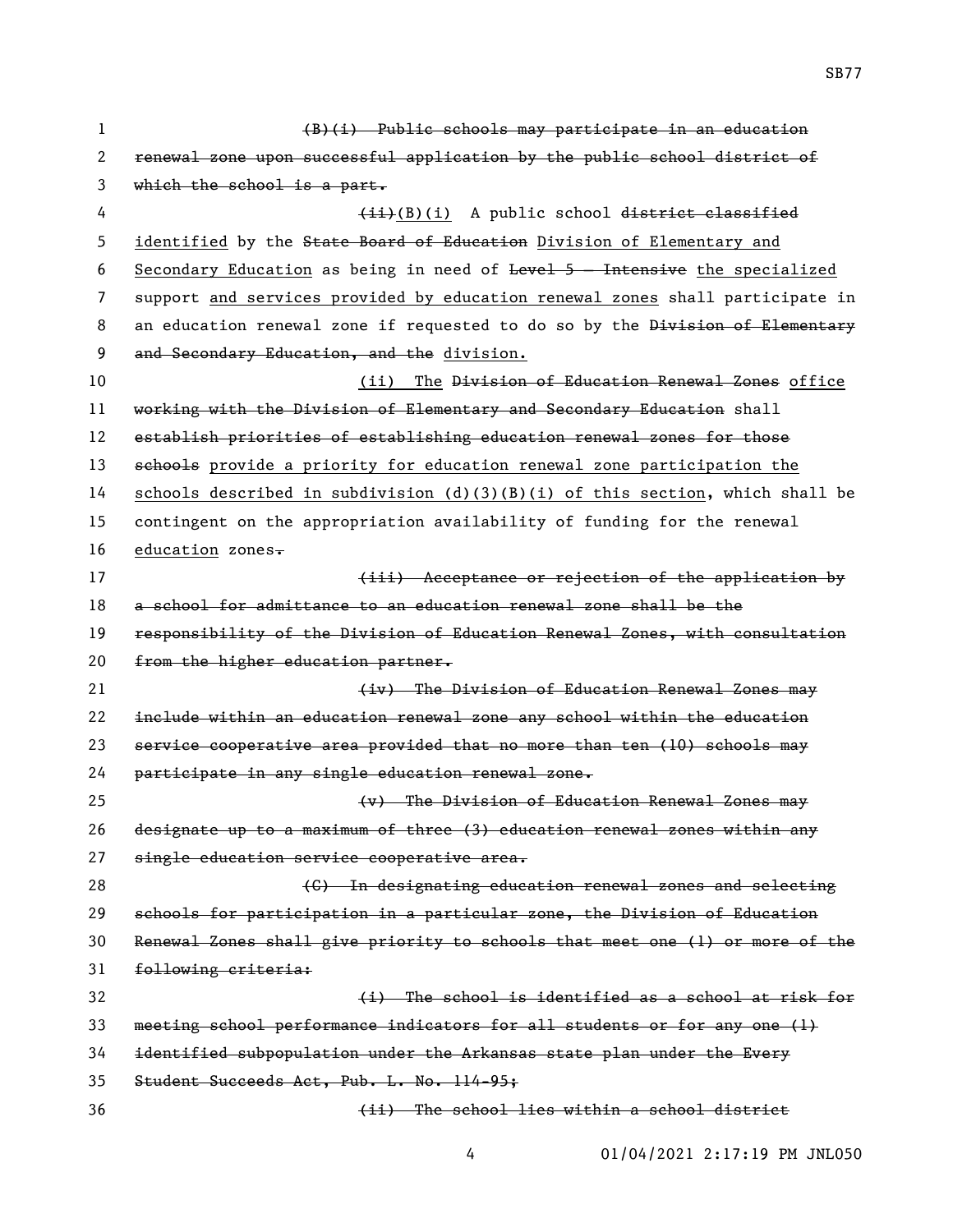(B)(i) Public schools may participate in an education renewal zone upon successful application by the public school district of which the school is a part. 4 (ii)(B)(i) A public school district classified 5 identified by the State Board of Education Division of Elementary and Secondary Education as being in need of Level 5 – Intensive the specialized support and services provided by education renewal zones shall participate in 8 an education renewal zone if requested to do so by the Division of Elementary 9 and Secondary Education, and the division. (ii) The Division of Education Renewal Zones office 11 working with the Division of Elementary and Secondary Education shall establish priorities of establishing education renewal zones for those 13 sehools provide a priority for education renewal zone participation the 14 schools described in subdivision (d)(3)(B)(i) of this section, which shall be contingent on the appropriation availability of funding for the renewal 16 education zones $\overline{\cdot}$ **Example 20 Increase of the increase of the application by**  a school for admittance to an education renewal zone shall be the responsibility of the Division of Education Renewal Zones, with consultation 20 from the higher education partner. 21 (iv) The Division of Education Renewal Zones may include within an education renewal zone any school within the education service cooperative area provided that no more than ten (10) schools may participate in any single education renewal zone. (v) The Division of Education Renewal Zones may designate up to a maximum of three (3) education renewal zones within any 27 single education service cooperative area. (C) In designating education renewal zones and selecting schools for participation in a particular zone, the Division of Education Renewal Zones shall give priority to schools that meet one (1) or more of the following criteria: **12** (i) The school is identified as a school at risk for meeting school performance indicators for all students or for any one (1) identified subpopulation under the Arkansas state plan under the Every Student Succeeds Act, Pub. L. No. 114-95; (ii) The school lies within a school district

01/04/2021 2:17:19 PM JNL050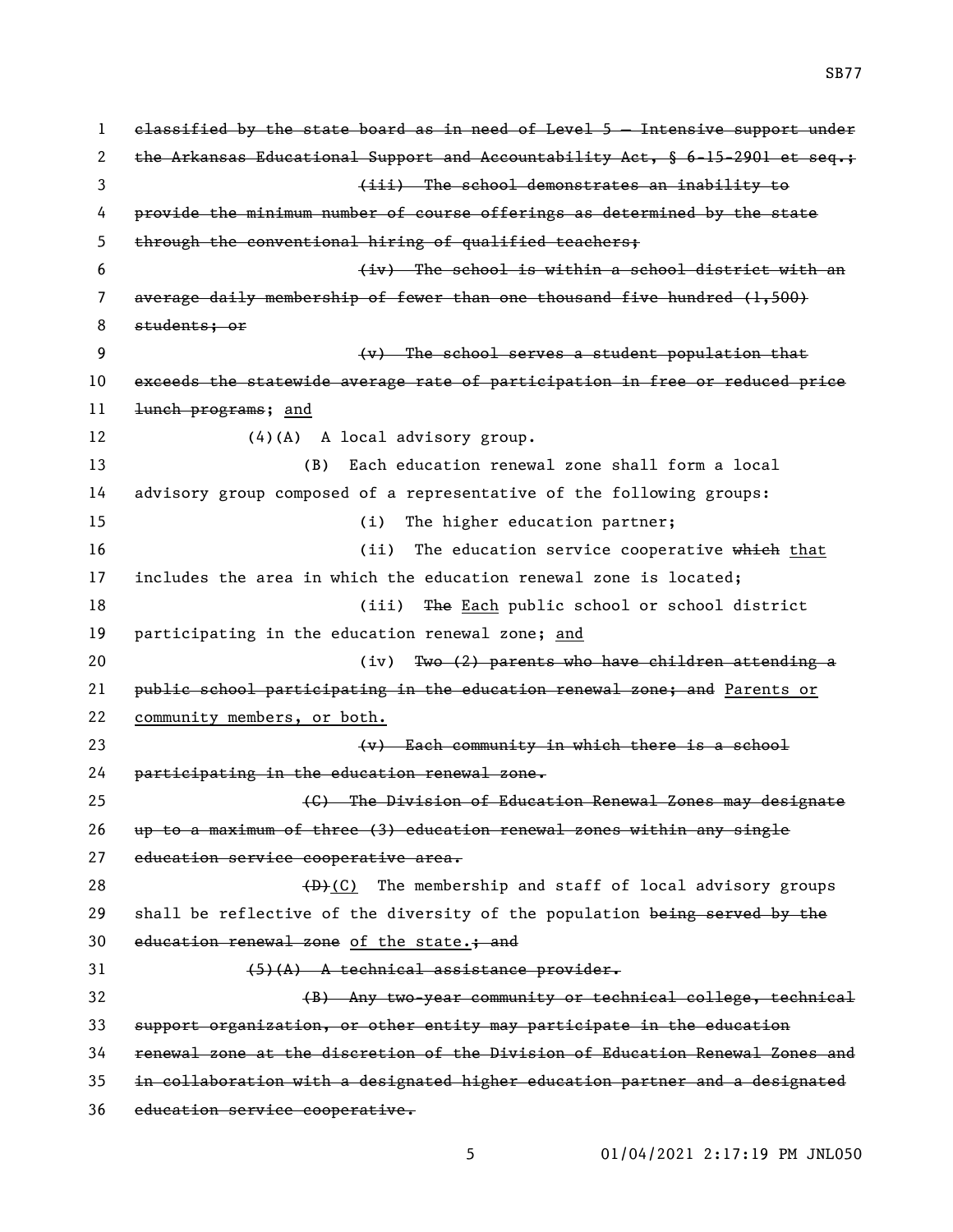classified by the state board as in need of Level 5 — Intensive support under 2 the Arkansas Educational Support and Accountability Act, § 6-15-2901 et seq.; (iii) The school demonstrates an inability to provide the minimum number of course offerings as determined by the state through the conventional hiring of qualified teachers; (iv) The school is within a school district with an average daily membership of fewer than one thousand five hundred (1,500) students; or (v) The school serves a student population that exceeds the statewide average rate of participation in free or reduced price 11 <del>lunch programs</del>; and 12 (4)(A) A local advisory group. (B) Each education renewal zone shall form a local advisory group composed of a representative of the following groups: 15 (i) The higher education partner; 16 (ii) The education service cooperative which that includes the area in which the education renewal zone is located; 18 (iii) The Each public school or school district participating in the education renewal zone; and (iv) Two (2) parents who have children attending a public school participating in the education renewal zone; and Parents or community members, or both. (v) Each community in which there is a school participating in the education renewal zone. (C) The Division of Education Renewal Zones may designate up to a maximum of three (3) education renewal zones within any single 27 education service cooperative area. 28 (D)(C) The membership and staff of local advisory groups 29 shall be reflective of the diversity of the population being served by the 30 education renewal zone of the state.; and 31 (5)(A) A technical assistance provider. (B) Any two-year community or technical college, technical support organization, or other entity may participate in the education renewal zone at the discretion of the Division of Education Renewal Zones and in collaboration with a designated higher education partner and a designated education service cooperative.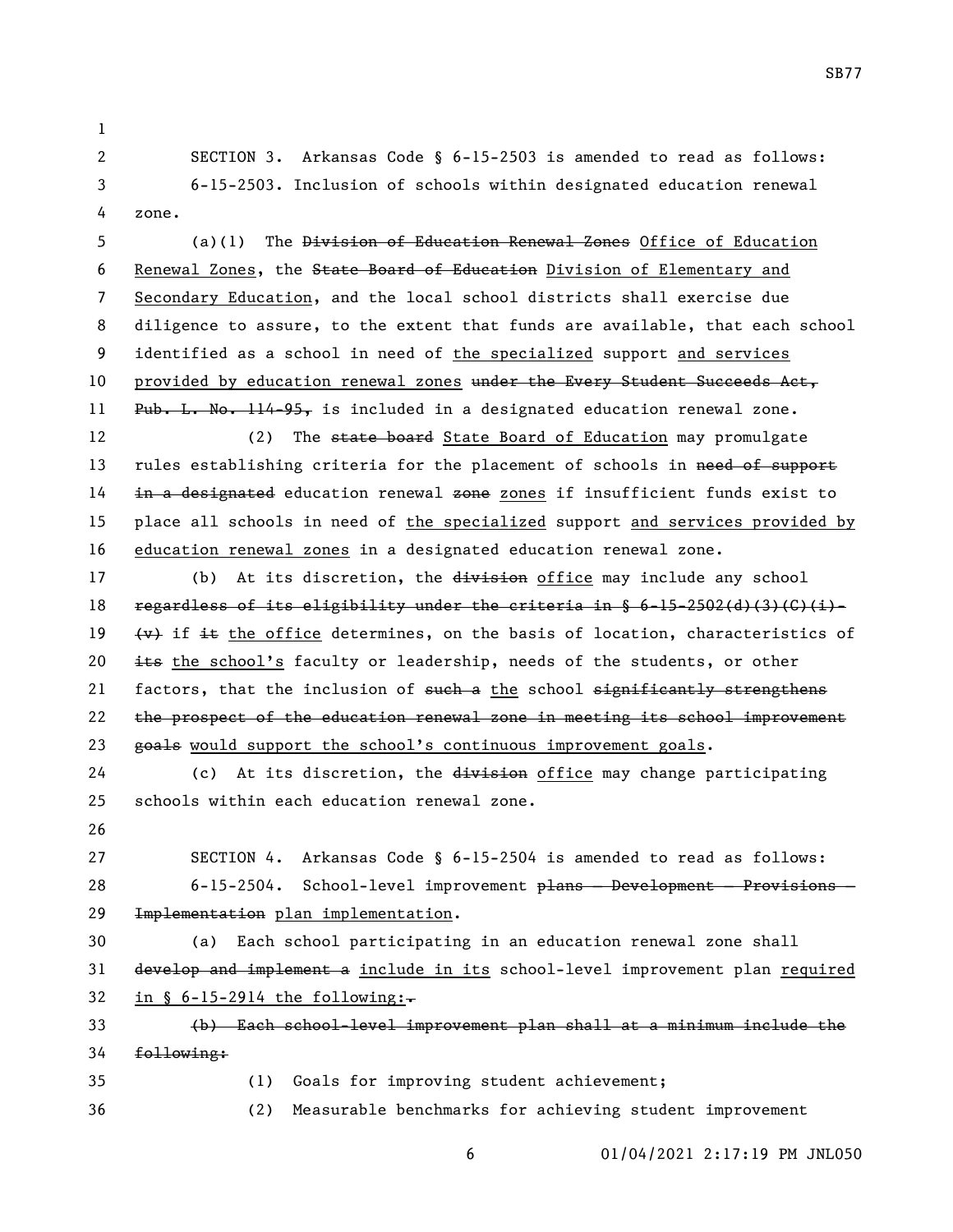SECTION 3. Arkansas Code § 6-15-2503 is amended to read as follows: 6-15-2503. Inclusion of schools within designated education renewal zone.

 (a)(1) The Division of Education Renewal Zones Office of Education Renewal Zones, the State Board of Education Division of Elementary and Secondary Education, and the local school districts shall exercise due diligence to assure, to the extent that funds are available, that each school identified as a school in need of the specialized support and services 10 provided by education renewal zones under the Every Student Succeeds Act, 11 Pub. L. No. 114-95, is included in a designated education renewal zone.

12 (2) The state board State Board of Education may promulgate 13 rules establishing criteria for the placement of schools in need of support in a designated education renewal zone zones if insufficient funds exist to place all schools in need of the specialized support and services provided by education renewal zones in a designated education renewal zone.

17 (b) At its discretion, the division office may include any school 18 regardless of its eligibility under the criteria in  $§ 6-15-2502(4)(3)(G)(i)-$ 19  $\{\star\}$  if it the office determines, on the basis of location, characteristics of 20  $\pm$  the school's faculty or leadership, needs of the students, or other 21 factors, that the inclusion of such a the school significantly strengthens 22 the prospect of the education renewal zone in meeting its school improvement 23 goals would support the school's continuous improvement goals.

24 (c) At its discretion, the division office may change participating schools within each education renewal zone.

 SECTION 4. Arkansas Code § 6-15-2504 is amended to read as follows: 6-15-2504. School-level improvement plans — Development — Provisions — Implementation plan implementation.

 (a) Each school participating in an education renewal zone shall develop and implement a include in its school-level improvement plan required 32 in § 6-15-2914 the following: $\overline{\cdot}$ 

 (b) Each school-level improvement plan shall at a minimum include the following:

(1) Goals for improving student achievement;

(2) Measurable benchmarks for achieving student improvement

01/04/2021 2:17:19 PM JNL050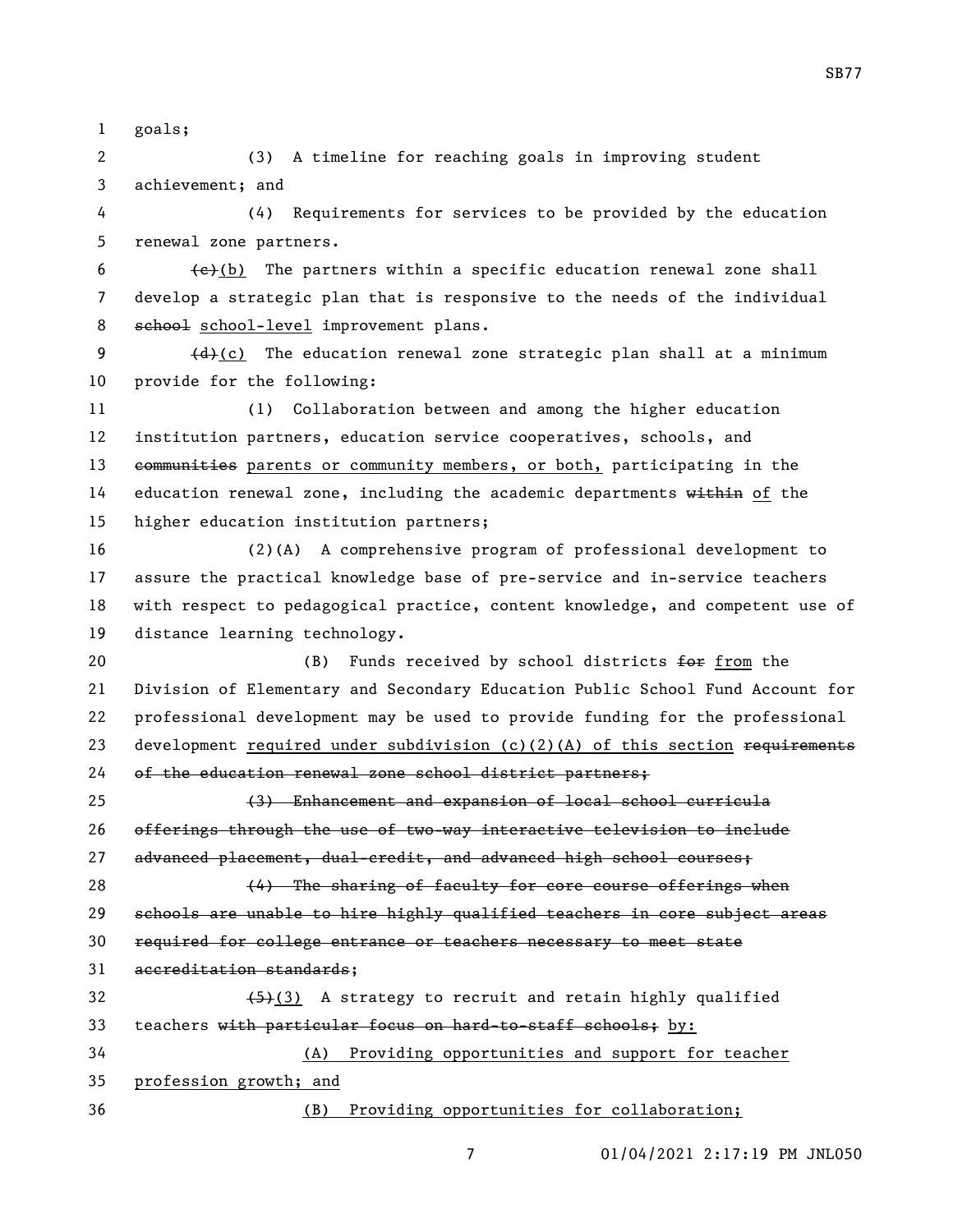goals;

 (3) A timeline for reaching goals in improving student achievement; and

 (4) Requirements for services to be provided by the education renewal zone partners.

6  $\leftarrow$  (b) The partners within a specific education renewal zone shall develop a strategic plan that is responsive to the needs of the individual 8 school-level improvement plans.

9  $\left\{\frac{d}{dt}\right\}(c)$  The education renewal zone strategic plan shall at a minimum provide for the following:

 (1) Collaboration between and among the higher education institution partners, education service cooperatives, schools, and 13 communities parents or community members, or both, participating in the 14 education renewal zone, including the academic departments within of the higher education institution partners;

 (2)(A) A comprehensive program of professional development to assure the practical knowledge base of pre-service and in-service teachers with respect to pedagogical practice, content knowledge, and competent use of distance learning technology.

20 (B) Funds received by school districts  $f \rightarrow f$  from the Division of Elementary and Secondary Education Public School Fund Account for professional development may be used to provide funding for the professional 23 development required under subdivision  $(c)(2)(A)$  of this section requirements of the education renewal zone school district partners;

 (3) Enhancement and expansion of local school curricula offerings through the use of two-way interactive television to include 27 advanced placement, dual-credit, and advanced high school courses;

28 (4) The sharing of faculty for core course offerings when schools are unable to hire highly qualified teachers in core subject areas required for college entrance or teachers necessary to meet state accreditation standards;

 $(5)(3)$  A strategy to recruit and retain highly qualified 33 teachers with particular focus on hard-to-staff schools; by: (A) Providing opportunities and support for teacher profession growth; and

(B) Providing opportunities for collaboration;

01/04/2021 2:17:19 PM JNL050